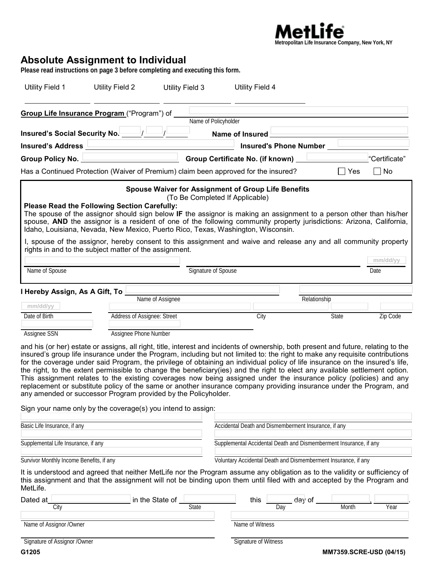

## **Absolute Assignment to Individual**

**Please read instructions on page 3 before completing and executing this form.**

| Utility Field 1                          | Utility Field 2                                                                                                                                                                                                                                                                                                                                                                                                                                                                                                                                                                                                                                                                                                                                                                                                                                                                                                      | Utility Field 3                                     | Utility Field 4                                                   |                               |              |               |
|------------------------------------------|----------------------------------------------------------------------------------------------------------------------------------------------------------------------------------------------------------------------------------------------------------------------------------------------------------------------------------------------------------------------------------------------------------------------------------------------------------------------------------------------------------------------------------------------------------------------------------------------------------------------------------------------------------------------------------------------------------------------------------------------------------------------------------------------------------------------------------------------------------------------------------------------------------------------|-----------------------------------------------------|-------------------------------------------------------------------|-------------------------------|--------------|---------------|
|                                          | Group Life Insurance Program ("Program") of _                                                                                                                                                                                                                                                                                                                                                                                                                                                                                                                                                                                                                                                                                                                                                                                                                                                                        | Name of Policyholder                                |                                                                   |                               |              |               |
| Insured's Social Security No.            |                                                                                                                                                                                                                                                                                                                                                                                                                                                                                                                                                                                                                                                                                                                                                                                                                                                                                                                      |                                                     | Name of Insured                                                   |                               |              |               |
|                                          | Insured's Address <u>Land and the Community of Section 1989</u>                                                                                                                                                                                                                                                                                                                                                                                                                                                                                                                                                                                                                                                                                                                                                                                                                                                      |                                                     |                                                                   | <b>Insured's Phone Number</b> |              |               |
|                                          | Group Policy No. <u>New York Charles Note</u>                                                                                                                                                                                                                                                                                                                                                                                                                                                                                                                                                                                                                                                                                                                                                                                                                                                                        |                                                     | Group Certificate No. (if known)                                  |                               |              | "Certificate" |
|                                          | Has a Continued Protection (Waiver of Premium) claim been approved for the insured?                                                                                                                                                                                                                                                                                                                                                                                                                                                                                                                                                                                                                                                                                                                                                                                                                                  |                                                     |                                                                   |                               | $\sqcap$ Yes | $\Box$ No     |
|                                          | <b>Please Read the Following Section Carefully:</b><br>The spouse of the assignor should sign below IF the assignor is making an assignment to a person other than his/her<br>spouse, AND the assignor is a resident of one of the following community property jurisdictions: Arizona, California,<br>Idaho, Louisiana, Nevada, New Mexico, Puerto Rico, Texas, Washington, Wisconsin.<br>I, spouse of the assignor, hereby consent to this assignment and waive and release any and all community property<br>rights in and to the subject matter of the assignment.                                                                                                                                                                                                                                                                                                                                               | Spouse Waiver for Assignment of Group Life Benefits | (To Be Completed If Applicable)                                   |                               |              |               |
|                                          |                                                                                                                                                                                                                                                                                                                                                                                                                                                                                                                                                                                                                                                                                                                                                                                                                                                                                                                      |                                                     |                                                                   |                               |              | mm/dd/yy      |
| Name of Spouse                           |                                                                                                                                                                                                                                                                                                                                                                                                                                                                                                                                                                                                                                                                                                                                                                                                                                                                                                                      | Signature of Spouse                                 |                                                                   |                               |              | Date          |
| I Hereby Assign, As A Gift, To L         |                                                                                                                                                                                                                                                                                                                                                                                                                                                                                                                                                                                                                                                                                                                                                                                                                                                                                                                      |                                                     |                                                                   |                               |              |               |
|                                          |                                                                                                                                                                                                                                                                                                                                                                                                                                                                                                                                                                                                                                                                                                                                                                                                                                                                                                                      | Name of Assignee                                    |                                                                   | Relationship                  |              |               |
| mm/dd/yy<br>Date of Birth                | Address of Assignee: Street                                                                                                                                                                                                                                                                                                                                                                                                                                                                                                                                                                                                                                                                                                                                                                                                                                                                                          |                                                     | City                                                              |                               | State        | Zip Code      |
|                                          |                                                                                                                                                                                                                                                                                                                                                                                                                                                                                                                                                                                                                                                                                                                                                                                                                                                                                                                      |                                                     |                                                                   |                               |              |               |
| Assignee SSN                             | Assignee Phone Number                                                                                                                                                                                                                                                                                                                                                                                                                                                                                                                                                                                                                                                                                                                                                                                                                                                                                                |                                                     |                                                                   |                               |              |               |
|                                          | and his (or her) estate or assigns, all right, title, interest and incidents of ownership, both present and future, relating to the<br>insured's group life insurance under the Program, including but not limited to: the right to make any requisite contributions<br>for the coverage under said Program, the privilege of obtaining an individual policy of life insurance on the insured's life,<br>the right, to the extent permissible to change the beneficiary(ies) and the right to elect any available settlement option.<br>This assignment relates to the existing coverages now being assigned under the insurance policy (policies) and any<br>replacement or substitute policy of the same or another insurance company providing insurance under the Program, and<br>any amended or successor Program provided by the Policyholder.<br>Sign your name only by the coverage(s) you intend to assign: |                                                     |                                                                   |                               |              |               |
|                                          |                                                                                                                                                                                                                                                                                                                                                                                                                                                                                                                                                                                                                                                                                                                                                                                                                                                                                                                      |                                                     |                                                                   |                               |              |               |
| Basic Life Insurance, if any             |                                                                                                                                                                                                                                                                                                                                                                                                                                                                                                                                                                                                                                                                                                                                                                                                                                                                                                                      |                                                     | Accidental Death and Dismemberment Insurance, if any              |                               |              |               |
| Supplemental Life Insurance, if any      |                                                                                                                                                                                                                                                                                                                                                                                                                                                                                                                                                                                                                                                                                                                                                                                                                                                                                                                      |                                                     | Supplemental Accidental Death and Dismemberment Insurance, if any |                               |              |               |
| Survivor Monthly Income Benefits, if any |                                                                                                                                                                                                                                                                                                                                                                                                                                                                                                                                                                                                                                                                                                                                                                                                                                                                                                                      |                                                     | Voluntary Accidental Death and Dismemberment Insurance, if any    |                               |              |               |
| MetLife.                                 | It is understood and agreed that neither MetLife nor the Program assume any obligation as to the validity or sufficiency of<br>this assignment and that the assignment will not be binding upon them until filed with and accepted by the Program and                                                                                                                                                                                                                                                                                                                                                                                                                                                                                                                                                                                                                                                                |                                                     |                                                                   |                               |              |               |
| Dated at                                 |                                                                                                                                                                                                                                                                                                                                                                                                                                                                                                                                                                                                                                                                                                                                                                                                                                                                                                                      | in the State of                                     | this                                                              | day of                        |              |               |
| City                                     |                                                                                                                                                                                                                                                                                                                                                                                                                                                                                                                                                                                                                                                                                                                                                                                                                                                                                                                      | State                                               |                                                                   | Day                           | Month        | Year          |

Name of Assignor /Owner Name of Witness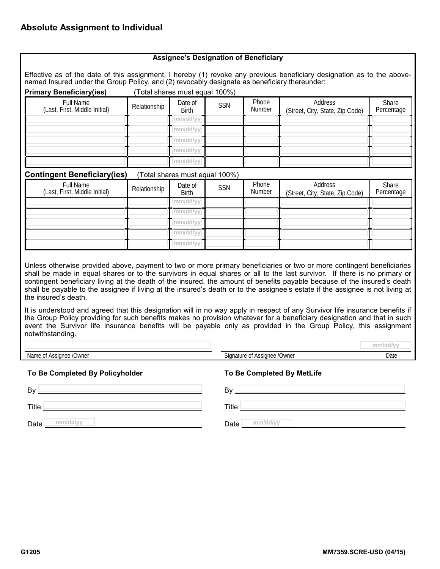| <b>Primary Beneficiary(ies)</b>                                                                                                                                                                                                                                                                                                                                                                                                                                                                                                         |              | (Total shares must equal 100%) |            |                        | named Insured under the Group Policy, and (2) revocably designate as beneficiary thereunder:                     |                     |
|-----------------------------------------------------------------------------------------------------------------------------------------------------------------------------------------------------------------------------------------------------------------------------------------------------------------------------------------------------------------------------------------------------------------------------------------------------------------------------------------------------------------------------------------|--------------|--------------------------------|------------|------------------------|------------------------------------------------------------------------------------------------------------------|---------------------|
| <b>Full Name</b><br>(Last, First, Middle Initial)                                                                                                                                                                                                                                                                                                                                                                                                                                                                                       | Relationship | Date of<br><b>Birth</b>        | <b>SSN</b> | Phone<br><b>Number</b> | Address<br>(Street, City, State, Zip Code)                                                                       | Share<br>Percentage |
|                                                                                                                                                                                                                                                                                                                                                                                                                                                                                                                                         |              | mm/dd/yy                       |            |                        |                                                                                                                  |                     |
|                                                                                                                                                                                                                                                                                                                                                                                                                                                                                                                                         |              | mm/dd/yy                       |            |                        |                                                                                                                  |                     |
|                                                                                                                                                                                                                                                                                                                                                                                                                                                                                                                                         |              | mm/dd/yy                       |            |                        |                                                                                                                  |                     |
|                                                                                                                                                                                                                                                                                                                                                                                                                                                                                                                                         |              | mm/dd/yy                       |            |                        |                                                                                                                  |                     |
|                                                                                                                                                                                                                                                                                                                                                                                                                                                                                                                                         |              | mm/dd/yy                       |            |                        |                                                                                                                  |                     |
| <b>Contingent Beneficiary(ies)</b>                                                                                                                                                                                                                                                                                                                                                                                                                                                                                                      |              | (Total shares must equal 100%) |            |                        |                                                                                                                  |                     |
| <b>Full Name</b><br>(Last, First, Middle Initial)                                                                                                                                                                                                                                                                                                                                                                                                                                                                                       | Relationship | Date of<br><b>Birth</b>        | <b>SSN</b> | Phone<br>Number        | Address<br>(Street, City, State, Zip Code)                                                                       | Share<br>Percentage |
|                                                                                                                                                                                                                                                                                                                                                                                                                                                                                                                                         |              | mm/dd/yy                       |            |                        |                                                                                                                  |                     |
|                                                                                                                                                                                                                                                                                                                                                                                                                                                                                                                                         |              | mm/dd/yy                       |            |                        |                                                                                                                  |                     |
|                                                                                                                                                                                                                                                                                                                                                                                                                                                                                                                                         |              | mm/dd/yy                       |            |                        |                                                                                                                  |                     |
|                                                                                                                                                                                                                                                                                                                                                                                                                                                                                                                                         |              | mm/dd/yy                       |            |                        |                                                                                                                  |                     |
|                                                                                                                                                                                                                                                                                                                                                                                                                                                                                                                                         |              | mm/dd/yy                       |            |                        |                                                                                                                  |                     |
| Unless otherwise provided above, payment to two or more primary beneficiaries or two or more contingent beneficiaries<br>shall be made in equal shares or to the survivors in equal shares or all to the last survivor. If there is no primary or<br>contingent beneficiary living at the death of the insured, the amount of benefits payable because of the insured's death<br>shall be payable to the assignee if living at the insured's death or to the assignee's estate if the assignee is not living at<br>the insured's death. |              |                                |            |                        |                                                                                                                  |                     |
| It is understood and agreed that this designation will in no way apply in respect of any Survivor life insurance benefits if<br>the Group Policy providing for such benefits makes no provision whatever for a beneficiary designation and that in such                                                                                                                                                                                                                                                                                 |              |                                |            |                        | event the Survivor life insurance benefits will be payable only as provided in the Group Policy, this assignment |                     |
| notwithstanding.                                                                                                                                                                                                                                                                                                                                                                                                                                                                                                                        |              |                                |            |                        |                                                                                                                  |                     |
|                                                                                                                                                                                                                                                                                                                                                                                                                                                                                                                                         |              |                                |            |                        |                                                                                                                  | mm/dd/yy            |

## **To Be Completed By Policyholder To Be Completed By MetLife**

| TO Be completed by Policynolder | TO BE COMPLETED BY METLITE |  |  |
|---------------------------------|----------------------------|--|--|
| By                              | B٧                         |  |  |
| <b>Title</b>                    | Title                      |  |  |
| mm/dd/w<br>$D = 1$              | mm/ddhn<br>$D - L$         |  |  |

**Date** <u>mm/dd/yy</u> **mm/dd/yy mm/dd/yy Date mm/dd/yy**